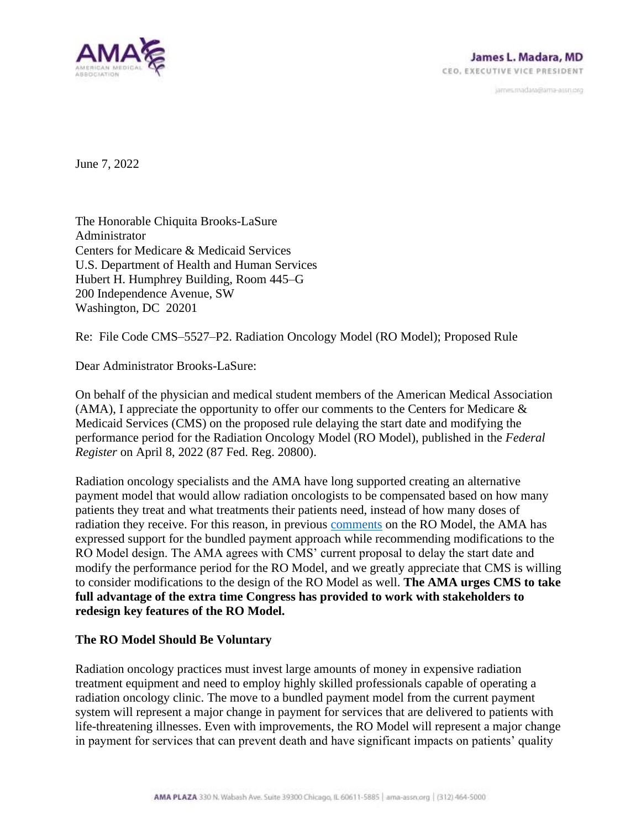

janves.madara@ama-assn.org

June 7, 2022

The Honorable Chiquita Brooks-LaSure Administrator Centers for Medicare & Medicaid Services U.S. Department of Health and Human Services Hubert H. Humphrey Building, Room 445–G 200 Independence Avenue, SW Washington, DC 20201

Re: File Code CMS–5527–P2. Radiation Oncology Model (RO Model); Proposed Rule

Dear Administrator Brooks-LaSure:

On behalf of the physician and medical student members of the American Medical Association (AMA), I appreciate the opportunity to offer our comments to the Centers for Medicare & Medicaid Services (CMS) on the proposed rule delaying the start date and modifying the performance period for the Radiation Oncology Model (RO Model), published in the *Federal Register* on April 8, 2022 (87 Fed. Reg. 20800).

Radiation oncology specialists and the AMA have long supported creating an alternative payment model that would allow radiation oncologists to be compensated based on how many patients they treat and what treatments their patients need, instead of how many doses of radiation they receive. For this reason, in previous [comments](https://searchlf.ama-assn.org/letter/documentDownload?uri=%2Funstructured%2Fbinary%2Fletter%2FLETTERS%2F2019-9-12-Letter-to-Verma-re-Comments-on-CMS-RO-ESRD-APM-Regs.pdf) on the RO Model, the AMA has expressed support for the bundled payment approach while recommending modifications to the RO Model design. The AMA agrees with CMS' current proposal to delay the start date and modify the performance period for the RO Model, and we greatly appreciate that CMS is willing to consider modifications to the design of the RO Model as well. **The AMA urges CMS to take full advantage of the extra time Congress has provided to work with stakeholders to redesign key features of the RO Model.**

## **The RO Model Should Be Voluntary**

Radiation oncology practices must invest large amounts of money in expensive radiation treatment equipment and need to employ highly skilled professionals capable of operating a radiation oncology clinic. The move to a bundled payment model from the current payment system will represent a major change in payment for services that are delivered to patients with life-threatening illnesses. Even with improvements, the RO Model will represent a major change in payment for services that can prevent death and have significant impacts on patients' quality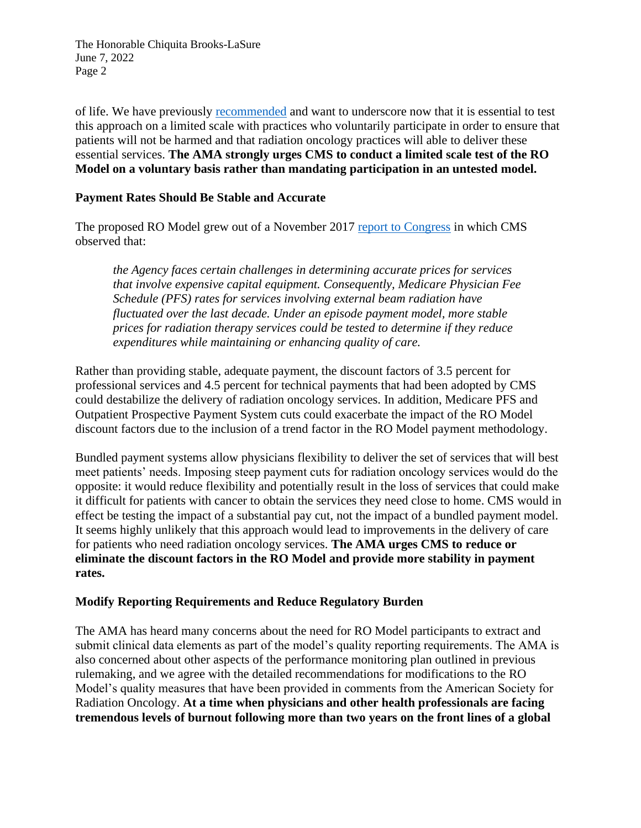The Honorable Chiquita Brooks-LaSure June 7, 2022 Page 2

of life. We have previously [recommended](https://searchlf.ama-assn.org/letter/documentDownload?uri=%2Funstructured%2Fbinary%2Fletter%2FLETTERS%2F2019-9-12-Letter-to-Verma-re-Comments-on-CMS-RO-ESRD-APM-Regs.pdf) and want to underscore now that it is essential to test this approach on a limited scale with practices who voluntarily participate in order to ensure that patients will not be harmed and that radiation oncology practices will able to deliver these essential services. **The AMA strongly urges CMS to conduct a limited scale test of the RO Model on a voluntary basis rather than mandating participation in an untested model.**

## **Payment Rates Should Be Stable and Accurate**

The proposed RO Model grew out of a November 2017 [report to Congress](https://innovation.cms.gov/files/reports/radiationtherapy-apm-rtc.pdf) in which CMS observed that:

*the Agency faces certain challenges in determining accurate prices for services that involve expensive capital equipment. Consequently, Medicare Physician Fee Schedule (PFS) rates for services involving external beam radiation have fluctuated over the last decade. Under an episode payment model, more stable prices for radiation therapy services could be tested to determine if they reduce expenditures while maintaining or enhancing quality of care.*

Rather than providing stable, adequate payment, the discount factors of 3.5 percent for professional services and 4.5 percent for technical payments that had been adopted by CMS could destabilize the delivery of radiation oncology services. In addition, Medicare PFS and Outpatient Prospective Payment System cuts could exacerbate the impact of the RO Model discount factors due to the inclusion of a trend factor in the RO Model payment methodology.

Bundled payment systems allow physicians flexibility to deliver the set of services that will best meet patients' needs. Imposing steep payment cuts for radiation oncology services would do the opposite: it would reduce flexibility and potentially result in the loss of services that could make it difficult for patients with cancer to obtain the services they need close to home. CMS would in effect be testing the impact of a substantial pay cut, not the impact of a bundled payment model. It seems highly unlikely that this approach would lead to improvements in the delivery of care for patients who need radiation oncology services. **The AMA urges CMS to reduce or eliminate the discount factors in the RO Model and provide more stability in payment rates.**

## **Modify Reporting Requirements and Reduce Regulatory Burden**

The AMA has heard many concerns about the need for RO Model participants to extract and submit clinical data elements as part of the model's quality reporting requirements. The AMA is also concerned about other aspects of the performance monitoring plan outlined in previous rulemaking, and we agree with the detailed recommendations for modifications to the RO Model's quality measures that have been provided in comments from the American Society for Radiation Oncology. **At a time when physicians and other health professionals are facing tremendous levels of burnout following more than two years on the front lines of a global**